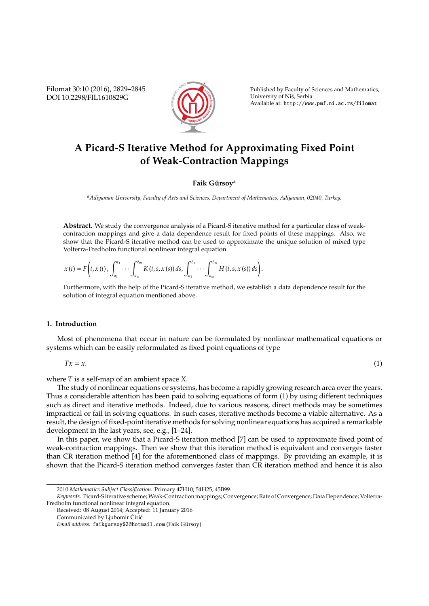Filomat 30:10 (2016), 2829–2845 DOI 10.2298/FIL1610829G



Published by Faculty of Sciences and Mathematics, University of Niš, Serbia Available at: http://www.pmf.ni.ac.rs/filomat

# **A Picard-S Iterative Method for Approximating Fixed Point of Weak-Contraction Mappings**

### **Faik Gürsoy**<sup>a</sup>

*<sup>a</sup>Adiyaman University, Faculty of Arts and Sciences, Department of Mathematics, Adiyaman, 02040, Turkey.*

**Abstract.** We study the convergence analysis of a Picard-S iterative method for a particular class of weakcontraction mappings and give a data dependence result for fixed points of these mappings. Also, we show that the Picard-S iterative method can be used to approximate the unique solution of mixed type Volterra-Fredholm functional nonlinear integral equation

$$
x(t) = F\bigg(t, x(t), \int_{a_1}^{t_1} \cdots \int_{a_m}^{t_m} K(t, s, x(s)) ds, \int_{a_1}^{b_1} \cdots \int_{a_m}^{b_m} H(t, s, x(s)) ds\bigg).
$$

Furthermore, with the help of the Picard-S iterative method, we establish a data dependence result for the solution of integral equation mentioned above.

## **1. Introduction**

Most of phenomena that occur in nature can be formulated by nonlinear mathematical equations or systems which can be easily reformulated as fixed point equations of type

$$
Tx = x.\tag{1}
$$

where *T* is a self-map of an ambient space *X*.

The study of nonlinear equations or systems, has become a rapidly growing research area over the years. Thus a considerable attention has been paid to solving equations of form (1) by using different techniques such as direct and iterative methods. Indeed, due to various reasons, direct methods may be sometimes impractical or fail in solving equations. In such cases, iterative methods become a viable alternative. As a result, the design of fixed-point iterative methods for solving nonlinear equations has acquired a remarkable development in the last years, see, e.g., [1–24].

In this paper, we show that a Picard-S iteration method [7] can be used to approximate fixed point of weak-contraction mappings. Then we show that this iteration method is equivalent and converges faster than CR iteration method [4] for the aforementioned class of mappings. By providing an example, it is shown that the Picard-S iteration method converges faster than CR iteration method and hence it is also

<sup>2010</sup> *Mathematics Subject Classification*. Primary 47H10; 54H25; 45B99.

*Keywords*. Picard-S iterative scheme; Weak-Contraction mappings; Convergence; Rate of Convergence; Data Dependence; Volterra-Fredholm functional nonlinear integral equation.

Received: 08 August 2014; Accepted: 11 January 2016

Communicated by Ljubomir Ćirić

*Email address:* faikgursoy02@hotmail.com (Faik Gursoy) ¨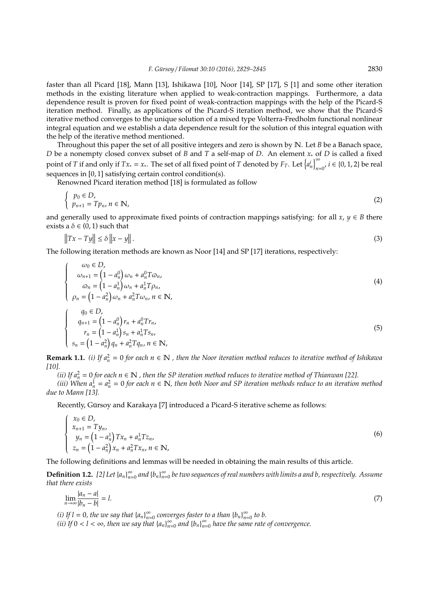faster than all Picard [18], Mann [13], Ishikawa [10], Noor [14], SP [17], S [1] and some other iteration methods in the existing literature when applied to weak-contraction mappings. Furthermore, a data dependence result is proven for fixed point of weak-contraction mappings with the help of the Picard-S iteration method. Finally, as applications of the Picard-S iteration method, we show that the Picard-S iterative method converges to the unique solution of a mixed type Volterra-Fredholm functional nonlinear integral equation and we establish a data dependence result for the solution of this integral equation with the help of the iterative method mentioned.

Throughout this paper the set of all positive integers and zero is shown by N. Let *B* be a Banach space, *D* be a nonempty closed convex subset of *B* and *T* a self-map of *D*. An element *x*<sup>∗</sup> of *D* is called a fixed point of *T* if and only if  $Tx_* = x_*$ . The set of all fixed point of *T* denoted by  $F_T$ . Let  $\left\{a_n^i\right\}_{n=1}^{\infty}$  $\sum_{n=0}^{\infty} i \in \{0, 1, 2\}$  be real sequences in [0, 1] satisfying certain control condition(s).

Renowned Picard iteration method [18] is formulated as follow

$$
\begin{cases} p_0 \in D, \\ p_{n+1} = T p_n, n \in \mathbb{N}, \end{cases}
$$
 (2)

and generally used to approximate fixed points of contraction mappings satisfying: for all  $x, y \in B$  there exists a  $\delta \in (0,1)$  such that

$$
||Tx - Ty|| \le \delta ||x - y||. \tag{3}
$$

The following iteration methods are known as Noor [14] and SP [17] iterations, respectively:

$$
\begin{cases}\n\omega_0 \in D, \\
\omega_{n+1} = (1 - a_n^0) \omega_n + a_n^0 T \omega_n, \\
\omega_n = (1 - a_n^1) \omega_n + a_n^1 T \rho_n, \\
\rho_n = (1 - a_n^2) \omega_n + a_n^2 T \omega_n, n \in \mathbb{N},\n\end{cases}
$$
\n(4)

$$
\begin{cases}\n q_0 \in D, \\
 q_{n+1} = (1 - a_n^0) r_n + a_n^0 T r_n, \\
 r_n = (1 - a_n^1) s_n + a_n^1 T s_n, \\
 s_n = (1 - a_n^2) q_n + a_n^2 T q_n, n \in \mathbb{N},\n\end{cases}
$$
\n(5)

**Remark 1.1.** (*i*) If  $a_n^2 = 0$  for each  $n \in \mathbb{N}$ , then the Noor iteration method reduces to iterative method of Ishikawa *[10].*

*(ii)* If  $a_n^2 = 0$  for each  $n \in \mathbb{N}$  , then the SP iteration method reduces to iterative method of Thianwan [22].

(*iii*) When  $a_n^1 = a_n^2 = 0$  for each  $n \in \mathbb{N}$ , then both Noor and SP iteration methods reduce to an iteration method *due to Mann [13].*

Recently, Gürsoy and Karakaya [7] introduced a Picard-S iterative scheme as follows:

$$
\begin{cases}\n x_0 \in D, \\
 x_{n+1} = Ty_n, \\
 y_n = (1 - a_n^1) Tx_n + a_n^1 T z_n, \\
 z_n = (1 - a_n^2) x_n + a_n^2 T x_n, n \in \mathbb{N},\n\end{cases}
$$
\n(6)

The following definitions and lemmas will be needed in obtaining the main results of this article.

**Definition 1.2.** *[2] Let*  $\{a_n\}_{n=1}^{\infty}$  $\sum_{n=0}^{\infty}$  and  ${b_n}_{n=0}^{\infty}$  $_{n=0}^{\infty}$  be two sequences of real numbers with limits a and b, respectively. Assume *that there exists*

$$
\lim_{n \to \infty} \frac{|a_n - a|}{|b_n - b|} = l. \tag{7}
$$

*(i)* If  $l = 0$ *, the we say that*  ${a_n}_{n=0}^{\infty}$ *n*=0 *converges faster to a than* {*bn*} ∞  $\sum_{n=0}^{\infty}$  to b.

*(ii)* If  $0 < l < \infty$ , then we say that  $\{a_n\}_{n=0}^{\infty}$  $\sum_{n=0}^{\infty}$  and  ${b_n}_{n=0}^{\infty}$ *n*=0 *have the same rate of convergence.*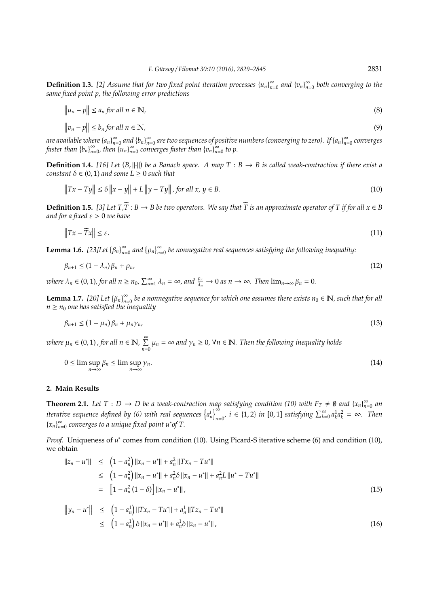**Definition 1.3.** [2] Assume that for two fixed point iteration processes  $\{u_n\}_{n=1}^{\infty}$  $\sum_{n=0}^{\infty}$  and  $\{v_n\}_{n=0}^{\infty}$ *n*=0 *both converging to the same fixed point p, the following error predictions*

$$
\|u_n - p\| \le a_n \text{ for all } n \in \mathbb{N},\tag{8}
$$

$$
\|v_n - p\| \le b_n \text{ for all } n \in \mathbb{N},\tag{9}
$$

*are available where*{*an*} ∞  $\sum_{n=0}^{\infty}$  and  ${b_n}_{n=0}^{\infty}$ *n*=0 *are two sequences of positive numbers (converging to zero). If* {*an*} ∞ *n*=0 *converges faster than*  ${b_n}_n^{\infty}$  $\sum_{n=0}^{\infty}$ , then  $\{u_n\}_{n=0}^{\infty}$ *n*=0 *converges faster than* {*vn*} ∞  $\sum_{n=0}^{\infty}$  to p.

**Definition 1.4.** [16] Let  $(B, \|\cdot\|)$  be a Banach space. A map  $T : B \to B$  is called weak-contraction if there exist a *constant*  $\delta \in (0, 1)$  *and some*  $L \geq 0$  *such that* 

$$
||Tx - Ty|| \le \delta ||x - y|| + L ||y - Ty||, \text{ for all } x, y \in B.
$$
 (10)

**Definition 1.5.** [3] Let  $T$ , $\overline{T}$  :  $B \to B$  be two operators. We say that  $\overline{T}$  is an approximate operator of T if for all  $x \in B$ *and for a fixed* ε > 0 *we have*

$$
\|Tx - \widetilde{T}x\| \le \varepsilon. \tag{11}
$$

**Lemma 1.6.** [23]Let  $\{\beta_n\}_{n=0}^{\infty}$  and  $\{\rho_n\}_{n=0}^{\infty}$  be nonnegative real sequences satisfying the following inequality:

$$
\beta_{n+1} \le (1 - \lambda_n)\beta_n + \rho_n,\tag{12}
$$

*where*  $\lambda_n \in (0, 1)$ , for all  $n \ge n_0$ ,  $\sum_{n=1}^{\infty} \lambda_n = \infty$ , and  $\frac{\rho_n}{\lambda_n} \to 0$  as  $n \to \infty$ . Then  $\lim_{n \to \infty} \beta_n = 0$ .

**Lemma 1.7.** [20] Let  $\{\beta_n\}_{n=0}^{\infty}$  be a nonnegative sequence for which one assumes there exists  $n_0 \in \mathbb{N}$ , such that for all  $n \geq n_0$  *one has satisfied the inequality* 

$$
\beta_{n+1} \le (1 - \mu_n)\beta_n + \mu_n \gamma_n,\tag{13}
$$

*where*  $\mu_n \in (0, 1)$  , for all  $n \in \mathbb{N}$ ,  $\sum^{\infty}$  $\sum_{n=0}^{\infty} \mu_n = \infty$  and  $\gamma_n \geq 0$ ,  $\forall n \in \mathbb{N}$ . Then the following inequality holds

$$
0 \le \limsup_{n \to \infty} \beta_n \le \limsup_{n \to \infty} \gamma_n. \tag{14}
$$

#### **2. Main Results**

**Theorem 2.1.** Let  $T : D \to D$  be a weak-contraction map satisfying condition (10) with  $F_T \neq \emptyset$  and  $\{x_n\}_{n=1}^{\infty}$  $\sum_{n=0}^{\infty}$  an *iterative sequence defined by (6) with real sequences*  $\left\{a_n^i\right\}_{n=1}^{\infty}$  $\int_{n=0}^{\infty} i \in \{1, 2\}$  *in* [0, 1] *satisfying*  $\sum_{k=0}^{\infty} a_k^1 a_k^2 = \infty$ *. Then*  ${x_n}_n^{\infty}$ *n*=0 *converges to a unique fixed point u*<sup>∗</sup> *of T.*

*Proof.* Uniqueness of  $u^*$  comes from condition (10). Using Picard-S iterative scheme (6) and condition (10), we obtain

$$
||z_n - u^*|| \le (1 - a_n^2) ||x_n - u^*|| + a_n^2 ||Tx_n - Tu^*||
$$
  
\n
$$
\le (1 - a_n^2) ||x_n - u^*|| + a_n^2 \delta ||x_n - u^*|| + a_n^2 L ||u^* - Tu^*||
$$
  
\n
$$
= [1 - a_n^2 (1 - \delta)] ||x_n - u^*||,
$$
\n(15)

$$
||y_n - u^*|| \le (1 - a_n^1) ||Tx_n - Tu^*|| + a_n^1 ||Tz_n - Tu^*||
$$
  
\n
$$
\le (1 - a_n^1) \delta ||x_n - u^*|| + a_n^1 \delta ||z_n - u^*||,
$$
\n(16)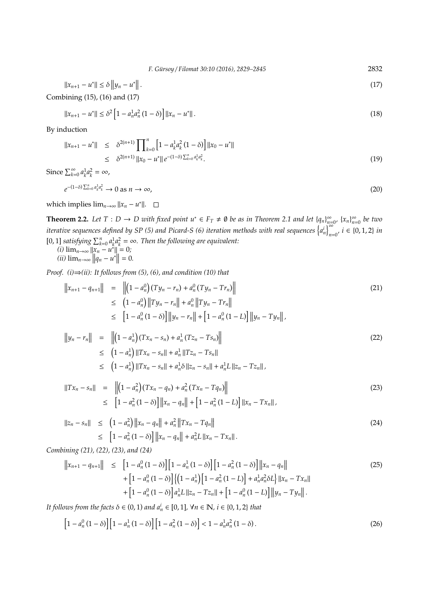*F. G ¨ursoy* / *Filomat 30:10 (2016), 2829–2845* 2832

$$
||x_{n+1} - u^*|| \le \delta ||y_n - u^*||. \tag{17}
$$

Combining (15), (16) and (17)

$$
||x_{n+1} - u^*|| \le \delta^2 \left[1 - a_n^1 a_n^2 (1 - \delta)\right] ||x_n - u^*||. \tag{18}
$$

By induction

$$
||x_{n+1} - u^*|| \leq \delta^{2(n+1)} \prod_{k=0}^n \left[ 1 - a_k^1 a_k^2 (1 - \delta) \right] ||x_0 - u^*||
$$
  
\n
$$
\leq \delta^{2(n+1)} ||x_0 - u^*|| e^{-(1-\delta) \sum_{k=0}^n a_k^1 a_k^2}.
$$
\n(19)

Since  $\sum_{k=0}^{\infty} a_k^1 a_k^2 = \infty$ ,

 $e^{-(1-\delta)\sum_{k=0}^{n} a_k^1 a_k^2} \to 0$  as  $n \to \infty$ , (20)

which implies  $\lim_{n\to\infty} ||x_n - u^*||$ .

**Theorem 2.2.** Let  $T : D \to D$  with fixed point  $u^* \in F_T \neq \emptyset$  be as in Theorem 2.1 and let  $\{q_n\}_{n=1}^{\infty}$  $\sum_{n=0}^{\infty}$  {*x*<sup>n</sup><sub>n</sub><sub>2</sub>∞</sup> *n*=0 *be two iterative sequences defined by SP (5) and Picard-S (6) iteration methods with real sequences*  $\begin{bmatrix} a_n \\ a_n \end{bmatrix}_{n=0}^{\infty}$  $\sum_{n=0}$ <sup>n</sup>, *i* ∈ {0, 1, 2} *in* [0, 1] *satisfying*  $\sum_{k=0}^{n} a_k^1 a_k^2 = \infty$ . Then the following are equivalent:  $(i)$  lim<sub>*n*→∞</sub> || $x_n - u^*$ || $= 0$ *;* 

 $(iii) \lim_{n \to \infty} ||q_n - u^*|| = 0.$ 

*Proof. (i)*⇒*(ii): It follows from (5), (6), and condition (10) that*

$$
||x_{n+1} - q_{n+1}|| = ||(1 - a_n^0)(Ty_n - r_n) + a_n^0(Ty_n - Tr_n)||
$$
  
\n
$$
\leq (1 - a_n^0) ||Ty_n - r_n|| + a_n^0 ||Ty_n - Tr_n||
$$
  
\n
$$
\leq [1 - a_n^0(1 - \delta)] ||y_n - r_n|| + [1 - a_n^0(1 - L)] ||y_n - Ty_n||,
$$
\n(21)

$$
\|y_n - r_n\| = \| \left(1 - a_n^1\right) (Tx_n - s_n) + a_n^1 (Tz_n - Ts_n) \right\|
$$
  
\n
$$
\leq (1 - a_n^1) \|Tx_n - s_n\| + a_n^1 \|Tz_n - Ts_n\|
$$
  
\n
$$
\leq (1 - a_n^1) \|Tx_n - s_n\| + a_n^1 \delta \|z_n - s_n\| + a_n^1 L \|z_n - Tz_n\|,
$$
\n(22)

$$
||Tx_n - s_n|| = ||(1 - a_n^2)(Tx_n - q_n) + a_n^2(Tx_n - Tq_n)||
$$
  
\n
$$
\leq [1 - a_n^2(1 - \delta)] ||x_n - q_n|| + [1 - a_n^2(1 - L)] ||x_n - Tx_n||,
$$
\n(23)

$$
||z_n - s_n|| \le (1 - a_n^2) ||x_n - q_n|| + a_n^2 ||Tx_n - Tq_n||
$$
  
\n
$$
\le [1 - a_n^2 (1 - \delta)] ||x_n - q_n|| + a_n^2 L ||x_n - Tx_n||.
$$
\n(24)

*Combining (21), (22), (23), and (24)*

$$
\|x_{n+1} - q_{n+1}\| \leq [1 - a_n^0 (1 - \delta)] [1 - a_n^1 (1 - \delta)] [1 - a_n^2 (1 - \delta)] \|x_n - q_n\| + [1 - a_n^0 (1 - \delta)] \{ (1 - a_n^1) [1 - a_n^2 (1 - L)] + a_n^1 a_n^2 \delta L \} \|x_n - Tx_n\| + [1 - a_n^0 (1 - \delta)] a_n^1 L \|z_n - Tx_n\| + [1 - a_n^0 (1 - L)] \|y_n - Ty_n\|.
$$
 (25)

*It follows from the facts*  $\delta \in (0, 1)$  *and*  $a_n^i \in [0, 1]$ ,  $\forall n \in \mathbb{N}$ ,  $i \in \{0, 1, 2\}$  *that* 

$$
\left[1 - a_n^0 \left(1 - \delta\right)\right] \left[1 - a_n^1 \left(1 - \delta\right)\right] \left[1 - a_n^2 \left(1 - \delta\right)\right] < 1 - a_n^1 a_n^2 \left(1 - \delta\right). \tag{26}
$$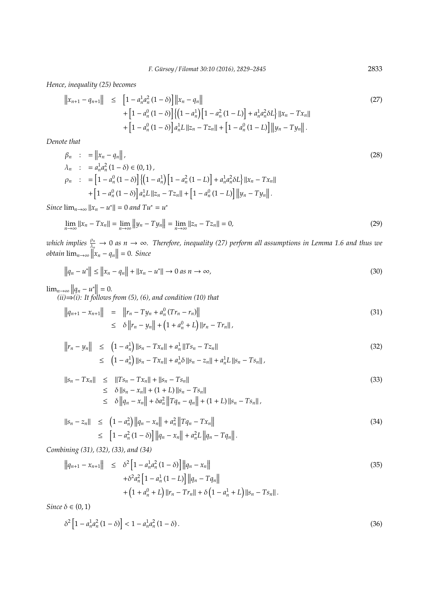*Hence, inequality (25) becomes*

$$
||x_{n+1} - q_{n+1}|| \leq [1 - a_n^1 a_n^2 (1 - \delta)] ||x_n - q_n||
$$
  
+ 
$$
[1 - a_n^0 (1 - \delta)] \{ (1 - a_n^1) [1 - a_n^2 (1 - L)] + a_n^1 a_n^2 \delta L \} ||x_n - Tx_n||
$$
  
+ 
$$
[1 - a_n^0 (1 - \delta)] a_n^1 L ||z_n - Tx_n|| + [1 - a_n^0 (1 - L)] ||y_n - Ty_n||.
$$
 (27)

*Denote that*

$$
\beta_n : = \|x_n - q_n\|,\n\lambda_n : = a_n^1 a_n^2 (1 - \delta) \in (0, 1),\n\beta_n : = [1 - a_n^0 (1 - \delta)] \{ (1 - a_n^1) [1 - a_n^2 (1 - L)] + a_n^1 a_n^2 \delta L \} \|x_n - Tx_n\|\n+ [1 - a_n^0 (1 - \delta)] a_n^1 L \|z_n - Tx_n\| + [1 - a_n^0 (1 - L)] \|y_n - Ty_n\|.
$$
\n(28)

*Since*  $\lim_{n \to \infty} ||x_n - u^*|| = 0$  *and*  $Tu^* = u^*$ 

$$
\lim_{n \to \infty} ||x_n - Tx_n|| = \lim_{n \to \infty} ||y_n - Ty_n|| = \lim_{n \to \infty} ||z_n - Tx_n|| = 0,
$$
\n(29)

*which implies*  $\frac{\rho_n}{\lambda_n} \to 0$  *as*  $n \to \infty$ . Therefore, inequality (27) perform all assumptions in Lemma 1.6 and thus we  $obtain \lim_{n\to\infty} ||x_n - q_n|| = 0.$  *Since* 

$$
||q_n - u^*|| \le ||x_n - q_n|| + ||x_n - u^*|| \to 0 \text{ as } n \to \infty,
$$
\n(30)

$$
\lim_{n \to \infty} ||q_n - u^*|| = 0.
$$
  
(ii)  $\Rightarrow$ (i): It follows from (5), (6), and condition (10) that

$$
||q_{n+1} - x_{n+1}|| = ||r_n - Ty_n + a_n^0 (Tr_n - r_n)||
$$
  
\n
$$
\leq \delta ||r_n - y_n|| + (1 + a_n^0 + L) ||r_n - Tr_n||,
$$
\n(31)

$$
||r_n - y_n|| \le (1 - a_n^1) ||s_n - Tx_n|| + a_n^1 ||Ts_n - Tz_n||
$$
  
\n
$$
\le (1 - a_n^1) ||s_n - Tx_n|| + a_n^1 \delta ||s_n - z_n|| + a_n^1 L ||s_n - Ts_n||,
$$
\n(32)

$$
||s_n - Tx_n|| \le ||Ts_n - Tx_n|| + ||s_n - Ts_n||
$$
  
\n
$$
\le \delta ||s_n - x_n|| + (1 + L) ||s_n - Ts_n||
$$
  
\n
$$
\le \delta ||q_n - x_n|| + \delta a_n^2 ||Tq_n - q_n|| + (1 + L) ||s_n - Ts_n||,
$$
\n(33)

$$
||s_n - z_n|| \le (1 - a_n^2) ||q_n - x_n|| + a_n^2 ||Tq_n - Tx_n||
$$
  
\n
$$
\le [1 - a_n^2 (1 - \delta)] ||q_n - x_n|| + a_n^2 L ||q_n - Tq_n||.
$$
\n(34)

*Combining (31), (32), (33), and (34)*

$$
||q_{n+1} - x_{n+1}|| \le \delta^2 \left[ 1 - a_n^1 a_n^2 (1 - \delta) \right] ||q_n - x_n||
$$
  
+  $\delta^2 a_n^2 \left[ 1 - a_n^1 (1 - L) \right] ||q_n - Tq_n||$   
+  $\left( 1 + a_n^0 + L \right) ||r_n - Tr_n|| + \delta \left( 1 - a_n^1 + L \right) ||s_n - Ts_n||.$  (35)

*Since*  $\delta \in (0, 1)$ 

$$
\delta^2 \left[ 1 - a_n^1 a_n^2 \left( 1 - \delta \right) \right] < 1 - a_n^1 a_n^2 \left( 1 - \delta \right). \tag{36}
$$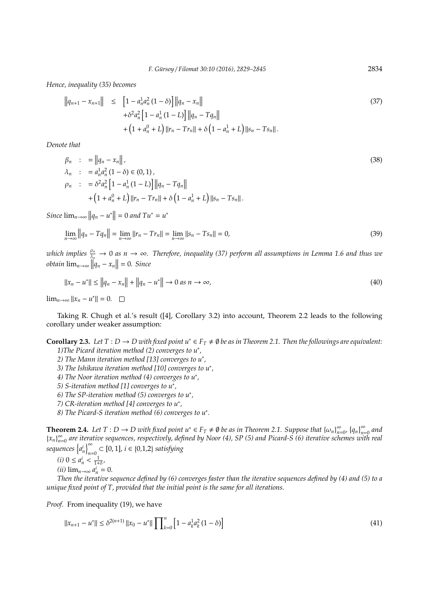*Hence, inequality (35) becomes*

$$
||q_{n+1} - x_{n+1}|| \le [1 - a_n^1 a_n^2 (1 - \delta)] ||q_n - x_n||
$$
  
+  $\delta^2 a_n^2 [1 - a_n^1 (1 - L)] ||q_n - Tq_n||$   
+  $(1 + a_n^0 + L) ||r_n - Tr_n|| + \delta (1 - a_n^1 + L) ||s_n - Ts_n||.$  (37)

*Denote that*

$$
\beta_n : = ||q_n - x_n||,
$$
  
\n
$$
\lambda_n : = a_n^1 a_n^2 (1 - \delta) \in (0, 1),
$$
  
\n
$$
\rho_n : = \delta^2 a_n^2 [1 - a_n^1 (1 - L)] ||q_n - Tq_n||
$$
  
\n
$$
+ (1 + a_n^0 + L) ||r_n - Tr_n|| + \delta (1 - a_n^1 + L) ||s_n - Ts_n||.
$$
\n(38)

*Since*  $\lim_{n\to\infty} ||q_n - u^*|| = 0$  *and*  $Tu^* = u^*$ 

$$
\lim_{n \to \infty} ||q_n - Tq_n|| = \lim_{n \to \infty} ||r_n - Tr_n|| = \lim_{n \to \infty} ||s_n - Ts_n|| = 0,
$$
\n(39)

*which implies*  $\frac{\rho_n}{\lambda_n} \to 0$  *as*  $n \to \infty$ . Therefore, inequality (37) perform all assumptions in Lemma 1.6 and thus we  $obtain \lim_{n\to\infty} ||q_n - x_n|| = 0.$  *Since* 

$$
||x_n - u^*|| \le ||q_n - x_n|| + ||q_n - u^*|| \to 0 \text{ as } n \to \infty,
$$
\n(40)

 $\lim_{n\to\infty} ||x_n - u^*|| = 0.$ 

Taking R. Chugh et al.'s result ([4], Corollary 3.2) into account, Theorem 2.2 leads to the following corollary under weaker assumption:

**Corollary 2.3.** Let  $T : D \to D$  with fixed point  $u^* \in F_T \neq \emptyset$  be as in Theorem 2.1. Then the followings are equivalent: *1)The Picard iteration method (2) converges to u*<sup>∗</sup> *,*

- *2) The Mann iteration method [13] converges to u*<sup>∗</sup> *,*
- *3) The Ishikawa iteration method [10] converges to u*<sup>∗</sup> *,*
- *4) The Noor iteration method (4) converges to u*<sup>∗</sup> *,*

*5) S-iteration method [1] converges to u*<sup>∗</sup> *,*

- *6) The SP-iteration method (5) converges to u*<sup>∗</sup> *,*
- *7) CR-iteration method [4] converges to u*<sup>∗</sup> *,*

*8) The Picard-S iteration method (6) converges to u*<sup>∗</sup> *.*

**Theorem 2.4.** *Let*  $T : D \to D$  with fixed point  $u^* \in F_T \neq \emptyset$  be as in Theorem 2.1. Suppose that  $\{\omega_n\}_{n=1}^{\infty}$  $\sum_{n=0}^{\infty}$ ,  $\{q_n\}_{n=0}^{\infty}$  and  ${x_n}_n^{\infty}$ *n*=0 *are iterative sequences, respectively, defined by Noor (4), SP (5) and Picard-S (6) iterative schemes with real*  $\left\{ \alpha_n^i \right\}_{n=1}^{\infty}$ *n*=0 ⊂ [0, 1]*, i* ∈ {0*,*1*,*2} *satisfying*

$$
(i) 0 \le a_n^i < \frac{1}{1+\delta},
$$

$$
(ii) \lim_{n\to\infty} a_n^i = 0.
$$

*Then the iterative sequence defined by (6) converges faster than the iterative sequences defined by (4) and (5) to a unique fixed point of T, provided that the initial point is the same for all iterations.*

Proof. From inequality (19), we have

$$
||x_{n+1} - u^*|| \le \delta^{2(n+1)} ||x_0 - u^*|| \prod_{k=0}^n \left[1 - a_k^1 a_k^2 (1 - \delta)\right]
$$
\n(41)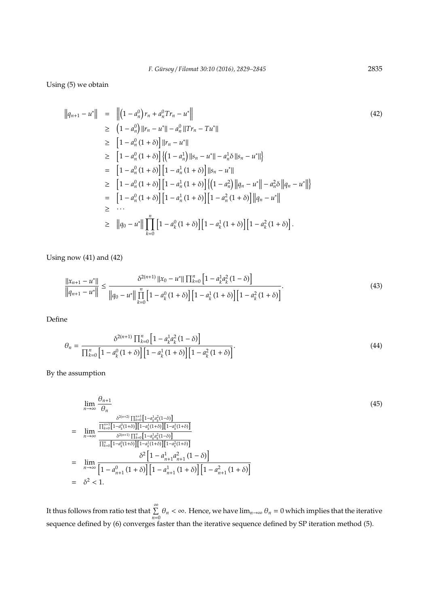Using (5) we obtain

$$
||q_{n+1} - u^*|| = ||(1 - a_n^0) r_n + a_n^0 T r_n - u^*||
$$
  
\n
$$
\geq (1 - a_n^0) ||r_n - u^*|| - a_n^0 ||T r_n - T u^*||
$$
  
\n
$$
\geq [1 - a_n^0 (1 + \delta)] ||r_n - u^*||
$$
  
\n
$$
\geq [1 - a_n^0 (1 + \delta)] \{ (1 - a_n^1) ||s_n - u^*|| - a_n^1 \delta ||s_n - u^*|| \}
$$
  
\n
$$
= [1 - a_n^0 (1 + \delta)] [1 - a_n^1 (1 + \delta)] ||s_n - u^*||
$$
  
\n
$$
\geq [1 - a_n^0 (1 + \delta)] [1 - a_n^1 (1 + \delta)] \{ (1 - a_n^2) ||q_n - u^*|| - a_n^2 \delta ||q_n - u^*|| \}
$$
  
\n
$$
= [1 - a_n^0 (1 + \delta)] [1 - a_n^1 (1 + \delta)] [1 - a_n^2 (1 + \delta)] ||q_n - u^*||
$$
  
\n
$$
\geq ...
$$
  
\n
$$
\geq ||q_0 - u^*|| \prod_{k=0}^n [1 - a_k^0 (1 + \delta)] [1 - a_k^1 (1 + \delta)] [1 - a_k^2 (1 + \delta)].
$$

Using now (41) and (42)

$$
\frac{\|x_{n+1} - u^*\|}{\|q_{n+1} - u^*\|} \le \frac{\delta^{2(n+1)} \|x_0 - u^*\| \prod_{k=0}^n \left[1 - a_k^1 a_k^2 (1 - \delta)\right]}{\|q_0 - u^*\| \prod_{k=0}^n \left[1 - a_k^0 (1 + \delta)\right] \left[1 - a_k^1 (1 + \delta)\right] \left[1 - a_k^2 (1 + \delta)\right]}.
$$
\n(43)

Define

$$
\theta_n = \frac{\delta^{2(n+1)} \prod_{k=0}^n \left[1 - a_k^1 a_k^2 (1 - \delta)\right]}{\prod_{k=0}^n \left[1 - a_k^0 (1 + \delta)\right] \left[1 - a_k^1 (1 + \delta)\right] \left[1 - a_k^2 (1 + \delta)\right]}.
$$
\n(44)

By the assumption

$$
\lim_{n \to \infty} \frac{\theta_{n+1}}{\theta_n}
$$
\n
$$
= \lim_{n \to \infty} \frac{\frac{\delta^{2(n+2)} \prod_{k=0}^{n+1} [1 - a_k^1 a_k^2 (1 - \delta)]}{\prod_{k=0}^{n+1} [1 - a_k^0 (1 + \delta)] [1 - a_k^1 (1 + \delta)] [1 - a_k^2 (1 + \delta)]}}{\frac{\delta^{2(n+1)} \prod_{k=0}^{n} [1 - a_k^1 a_k^2 (1 - \delta)]}{\prod_{k=0}^{n} [1 - a_k^0 (1 + \delta)] [1 - a_k^1 (1 + \delta)] [1 - a_k^2 (1 + \delta)]}}
$$
\n
$$
= \lim_{n \to \infty} \frac{\delta^2 [1 - a_{n+1}^1 a_{n+1}^2 (1 - \delta)]}{\left[1 - a_{n+1}^0 (1 + \delta)\right] \left[1 - a_{n+1}^1 (1 + \delta)\right] \left[1 - a_{n+1}^2 (1 + \delta)\right]}
$$
\n
$$
= \delta^2 < 1.
$$
\n(45)

It thus follows from ratio test that  $\sum_{n=0}^{\infty} \theta_n < \infty$ . Hence, we have  $\lim_{n\to\infty} \theta_n = 0$  which implies that the iterative sequence defined by (6) converges faster than the iterative sequence defined by SP iteration method (5).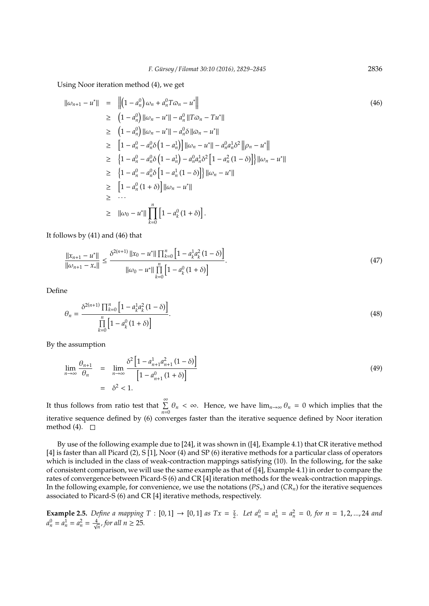Using Noor iteration method (4), we get

$$
\|\omega_{n+1} - u^*\| = \| \left(1 - a_n^0\right) \omega_n + a_n^0 T \omega_n - u^* \right|
$$
  
\n
$$
\geq (1 - a_n^0) \|\omega_n - u^*\| - a_n^0 \|T \omega_n - T u^*\|
$$
  
\n
$$
\geq (1 - a_n^0) \|\omega_n - u^*\| - a_n^0 \delta \|\omega_n - u^*\|
$$
  
\n
$$
\geq [1 - a_n^0 - a_n^0 \delta \left(1 - a_n^1\right) \|\omega_n - u^*\| - a_n^0 a_n^1 \delta^2 \|\rho_n - u^*\|
$$
  
\n
$$
\geq \left\{1 - a_n^0 - a_n^0 \delta \left(1 - a_n^1\right) - a_n^0 a_n^1 \delta^2 \left[1 - a_n^2 (1 - \delta)\right] \|\omega_n - u^*\|
$$
  
\n
$$
\geq \left\{1 - a_n^0 - a_n^0 \delta \left[1 - a_n^1 (1 - \delta)\right] \|\omega_n - u^*\|
$$
  
\n
$$
\geq [1 - a_n^0 (1 + \delta)] \|\omega_n - u^*\|
$$
  
\n
$$
\geq \dots
$$
  
\n
$$
\geq \|\omega_0 - u^*\| \prod_{k=0}^n \left[1 - a_k^0 (1 + \delta)\right].
$$

It follows by (41) and (46) that

$$
\frac{\|x_{n+1} - u^*\|}{\|w_{n+1} - x_*\|} \le \frac{\delta^{2(n+1)} \|x_0 - u^*\| \prod_{k=0}^n \left[1 - a_k^1 a_k^2 (1 - \delta)\right]}{\|w_0 - u^*\| \prod_{k=0}^n \left[1 - a_k^0 (1 + \delta)\right]}.
$$
\n(47)

Define

$$
\theta_n = \frac{\delta^{2(n+1)} \prod_{k=0}^n \left[ 1 - a_k^1 a_k^2 (1 - \delta) \right]}{\prod_{k=0}^n \left[ 1 - a_k^0 (1 + \delta) \right]}.
$$
\n(48)

By the assumption

$$
\lim_{n \to \infty} \frac{\theta_{n+1}}{\theta_n} = \lim_{n \to \infty} \frac{\delta^2 \left[ 1 - a_{n+1}^1 a_{n+1}^2 (1 - \delta) \right]}{\left[ 1 - a_{n+1}^0 (1 + \delta) \right]}
$$
\n
$$
= \delta^2 < 1.
$$
\n(49)

It thus follows from ratio test that  $\sum_{n=0}^{\infty} \theta_n < \infty$ . Hence, we have  $\lim_{n\to\infty} \theta_n = 0$  which implies that the iterative sequence defined by (6) converges faster than the iterative sequence defined by Noor iteration method (4).  $\Box$ 

By use of the following example due to [24], it was shown in ([4], Example 4.1) that CR iterative method [4] is faster than all Picard (2), S [1], Noor (4) and SP (6) iterative methods for a particular class of operators which is included in the class of weak-contraction mappings satisfying (10). In the following, for the sake of consistent comparison, we will use the same example as that of ([4], Example 4.1) in order to compare the rates of convergence between Picard-S (6) and CR [4] iteration methods for the weak-contraction mappings. In the following example, for convenience, we use the notations (*PSn*) and (*CRn*) for the iterative sequences associated to Picard-S $(6)$  and CR [4] iterative methods, respectively.

**Example 2.5.** *Define a mapping*  $T : [0, 1] \rightarrow [0, 1]$  *as*  $Tx = \frac{x}{2}$ *. Let*  $a_n^0 = a_n^1 = a_n^2 = 0$ *, for*  $n = 1, 2, ..., 24$  *and*  $a_n^0 = a_n^1 = a_n^2 = \frac{4}{\sqrt{n}},$  for all  $n \ge 25$ .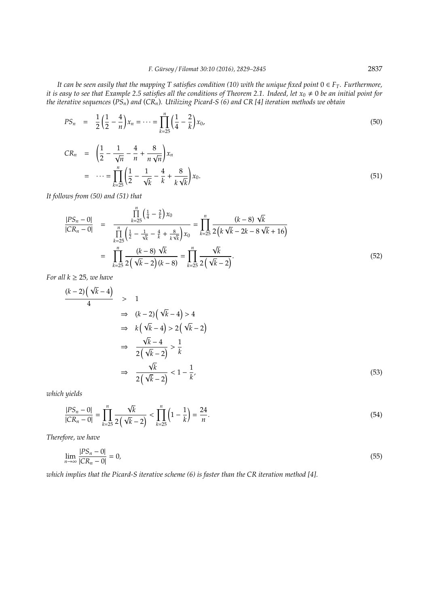*It can be seen easily that the mapping T satisfies condition (10) with the unique fixed point*  $0 \in F_T$ *. Furthermore, it is easy to see that Example 2.5 satisfies all the conditions of Theorem 2.1. Indeed, let*  $x_0 \neq 0$  *be an initial point for the iterative sequences* (*PSn*) *and* (*CRn*)*. Utilizing Picard-S (6) and CR [4] iteration methods we obtain*

$$
PS_n = \frac{1}{2} \left( \frac{1}{2} - \frac{4}{n} \right) x_n = \dots = \prod_{k=25}^n \left( \frac{1}{4} - \frac{2}{k} \right) x_0,
$$
\n
$$
(50)
$$

$$
CR_n = \left(\frac{1}{2} - \frac{1}{\sqrt{n}} - \frac{4}{n} + \frac{8}{n\sqrt{n}}\right)x_n
$$
  
=  $\dots = \prod_{k=25}^n \left(\frac{1}{2} - \frac{1}{\sqrt{k}} - \frac{4}{k} + \frac{8}{k\sqrt{k}}\right)x_0.$  (51)

*It follows from (50) and (51) that*

$$
\frac{|PS_n - 0|}{|CR_n - 0|} = \frac{\prod_{k=25}^{n} \left(\frac{1}{4} - \frac{2}{k}\right) x_0}{\prod_{k=25}^{n} \left(\frac{1}{2} - \frac{1}{\sqrt{k}} - \frac{4}{k} + \frac{8}{k\sqrt{k}}\right) x_0} = \prod_{k=25}^{n} \frac{(k-8)\sqrt{k}}{2\left(k\sqrt{k} - 2k - 8\sqrt{k} + 16\right)}
$$

$$
= \prod_{k=25}^{n} \frac{(k-8)\sqrt{k}}{2\left(\sqrt{k} - 2\right)(k-8)} = \prod_{k=25}^{n} \frac{\sqrt{k}}{2\left(\sqrt{k} - 2\right)}.
$$
(52)

*For all*  $k \geq 25$ *, we have* 

$$
\frac{(k-2)\left(\sqrt{k}-4\right)}{4} > 1
$$
\n
$$
\Rightarrow (k-2)\left(\sqrt{k}-4\right) > 4
$$
\n
$$
\Rightarrow k\left(\sqrt{k}-4\right) > 2\left(\sqrt{k}-2\right)
$$
\n
$$
\Rightarrow \frac{\sqrt{k}-4}{2\left(\sqrt{k}-2\right)} > \frac{1}{k}
$$
\n
$$
\Rightarrow \frac{\sqrt{k}}{2\left(\sqrt{k}-2\right)} < 1 - \frac{1}{k},\tag{53}
$$

*which yields*

$$
\frac{|PS_n - 0|}{|CR_n - 0|} = \prod_{k=25}^n \frac{\sqrt{k}}{2(\sqrt{k} - 2)} < \prod_{k=25}^n \left(1 - \frac{1}{k}\right) = \frac{24}{n}.\tag{54}
$$

*Therefore, we have*

$$
\lim_{n \to \infty} \frac{|PS_n - 0|}{|CR_n - 0|} = 0,\tag{55}
$$

*which implies that the Picard-S iterative scheme (6) is faster than the CR iteration method [4].*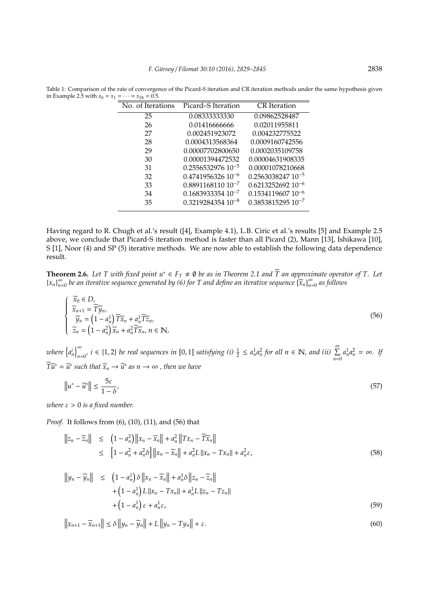| Picard-S Iteration              | <b>CR</b> Iteration      |
|---------------------------------|--------------------------|
| 0.08333333330                   | 0.09862528487            |
| 0.01416666666                   | 0.02011955811            |
| 0.002451923072                  | 0.004232775522           |
| 0.0004313568364                 | 0.0009160742556          |
| 0.00007702800650                | 0.0002035109758          |
| 0.00001394472532                | 0.00004631908335         |
| $0.2556532976$ 10 <sup>-5</sup> | 0.00001078210668         |
| $0.474195632610^{-6}$           | $0.2563038247$ $10^{-5}$ |
| $0.889116811010^{-7}$           | $0.6213252692$ $10^{-6}$ |
| $0.1683933354$ $10^{-7}$        | $0.153411960710^{-6}$    |
| $0.3219284354$ $10^{-8}$        | $0.3853815295$ $10^{-7}$ |
|                                 |                          |

Table 1: Comparison of the rate of convergence of the Picard-S iteration and CR iteration methods under the same hypothesis given in Example 2.5 with  $x_0 = x_1 = \cdots = x_{24} = 0.5$ .

Having regard to R. Chugh et al.'s result ([4], Example 4.1), L.B. Ciric et al.'s results [5] and Example 2.5 above, we conclude that Picard-S iteration method is faster than all Picard (2), Mann [13], Ishikawa [10], S [1], Noor (4) and SP (5) iterative methods. We are now able to establish the following data dependence result.

**Theorem 2.6.** Let T with fixed point  $u^* \in F_T \neq \emptyset$  be as in Theorem 2.1 and  $\widetilde{T}$  an approximate operator of T. Let  ${x_n}_n^{\infty}$ **∞** *be an iterative sequence generated by (6) for T and define an iterative sequence*  $\{\overline{x}_n\}_{n=0}^\infty$  *as follows* 

$$
\begin{cases}\n\widetilde{x}_0 \in D, \\
\widetilde{x}_{n+1} = \widetilde{T} \widetilde{y}_n, \\
\widetilde{y}_n = (1 - a_n^1) \widetilde{T} \widetilde{x}_n + a_n^1 \widetilde{T} \widetilde{z}_n, \\
\widetilde{z}_n = (1 - a_n^2) \widetilde{x}_n + a_n^2 \widetilde{T} \widetilde{x}_n, n \in \mathbb{N},\n\end{cases}
$$
\n(56)

*where*  $\left\{a_n^i\right\}_{n=1}^{\infty}$  $\sum_{n=0}^{\infty} i \in \{1,2\}$  be real sequences in [0,1] satisfying (i)  $\frac{1}{2} \le a_n^1 a_n^2$  for all  $n \in \mathbb{N}$ , and (ii)  $\sum_{n=0}^{\infty} a_n^1 a_n^2 = \infty$ . If  $\widetilde{T}\widetilde{u}^* = \widetilde{u}^*$  such that  $\widetilde{x}_n \to \widetilde{u}^*$  as  $n \to \infty$  , then we have

$$
\left\|u^* - \widetilde{u}^*\right\| \le \frac{5\varepsilon}{1 - \delta},\tag{57}
$$

*where*  $\varepsilon > 0$  *is a fixed number.* 

*Proof.* It follows from (6), (10), (11), and (56) that

$$
\begin{aligned}\n\left\| z_n - \widetilde{z}_n \right\| &\leq \left( 1 - a_n^2 \right) \left\| x_n - \widetilde{x}_n \right\| + a_n^2 \left\| T x_n - \widetilde{T} \widetilde{x}_n \right\| \\
&\leq \left[ 1 - a_n^2 + a_n^2 \delta \right] \left\| x_n - \widetilde{x}_n \right\| + a_n^2 L \left\| x_n - T x_n \right\| + a_n^2 \varepsilon,\n\end{aligned} \tag{58}
$$

$$
\|y_n - \widetilde{y}_n\| \leq (1 - a_n^1) \delta \|x_n - \widetilde{x}_n\| + a_n^1 \delta \|z_n - \widetilde{z}_n\| + (1 - a_n^1) L \|x_n - Tx_n\| + a_n^1 L \|z_n - Tz_n\| + (1 - a_n^1) \varepsilon + a_n^1 \varepsilon,
$$
\n(59)

$$
\|x_{n+1} - \widetilde{x}_{n+1}\| \le \delta \|y_n - \widetilde{y}_n\| + L \|y_n - Ty_n\| + \varepsilon.
$$
\n
$$
(60)
$$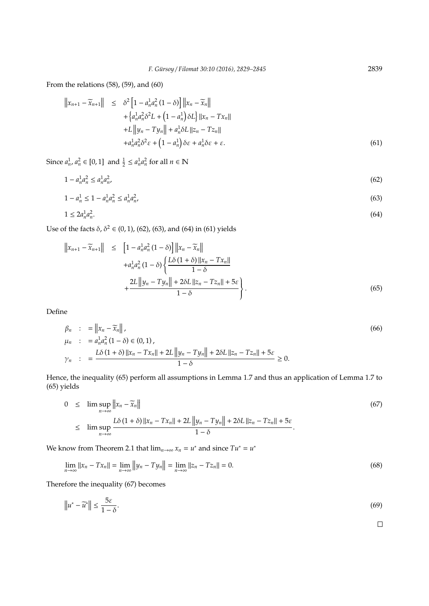From the relations (58), (59), and (60)

$$
\|x_{n+1} - \widetilde{x}_{n+1}\| \leq \delta^2 \left[1 - a_n^1 a_n^2 (1 - \delta)\right] \|x_n - \widetilde{x}_n\| + \left\{a_n^1 a_n^2 \delta^2 L + \left(1 - a_n^1\right) \delta L\right\} \|x_n - Tx_n\| + L \|y_n - Ty_n\| + a_n^1 \delta L \|z_n - Tz_n\| + a_n^1 a_n^2 \delta^2 \varepsilon + \left(1 - a_n^1\right) \delta \varepsilon + a_n^1 \delta \varepsilon + \varepsilon.
$$
 (61)

Since  $a_n^1$ ,  $a_n^2 \in [0, 1]$  and  $\frac{1}{2} \le a_n^1 a_n^2$  for all  $n \in \mathbb{N}$ 

 $1 - a_n^1 a_n^2 \le a_n^1 a_n^2$ ,  $(62)$ 

$$
1 - a_n^1 \le 1 - a_n^1 a_n^2 \le a_n^1 a_n^2,\tag{63}
$$

$$
1 \le 2a_n^1 a_n^2. \tag{64}
$$

Use of the facts  $\delta$ ,  $\delta^2 \in (0, 1)$ , (62), (63), and (64) in (61) yields

$$
||x_{n+1} - \widetilde{x}_{n+1}|| \leq [1 - a_n^1 a_n^2 (1 - \delta)] ||x_n - \widetilde{x}_n||
$$
  
+ 
$$
a_n^1 a_n^2 (1 - \delta) \left\{ \frac{L\delta (1 + \delta) ||x_n - Tx_n||}{1 - \delta} + \frac{2L ||y_n - Ty_n|| + 2\delta L ||z_n - Tx_n|| + 5\varepsilon}{1 - \delta} \right\}.
$$
  
(65)

Define

$$
\beta_n : = \|x_n - \tilde{x}_n\|,\n\mu_n : = a_n^1 a_n^2 (1 - \delta) \in (0, 1),\n\gamma_n : = \frac{L\delta (1 + \delta) \|x_n - Tx_n\| + 2L \|y_n - Ty_n\| + 2\delta L \|z_n - Tz_n\| + 5\varepsilon}{1 - \delta} \ge 0.
$$
\n(66)

Hence, the inequality (65) perform all assumptions in Lemma 1.7 and thus an application of Lemma 1.7 to (65) yields

$$
0 \leq \limsup_{n \to \infty} ||x_n - \widetilde{x}_n||
$$
\n
$$
\leq \limsup_{n \to \infty} \frac{L\delta(1+\delta) ||x_n - Tx_n|| + 2L ||y_n - Ty_n|| + 2\delta L ||z_n - Tx_n|| + 5\varepsilon}{1 - \delta}.
$$
\n
$$
(67)
$$

We know from Theorem 2.1 that  $\lim_{n\to\infty} x_n = u^*$  and since  $Tu^* = u^*$ 

$$
\lim_{n \to \infty} ||x_n - Tx_n|| = \lim_{n \to \infty} ||y_n - Ty_n|| = \lim_{n \to \infty} ||z_n - Tz_n|| = 0.
$$
\n(68)

Therefore the inequality (67) becomes

$$
\left\|u^* - \widetilde{u}^*\right\| \le \frac{5\varepsilon}{1 - \delta}.\tag{69}
$$

 $\Box$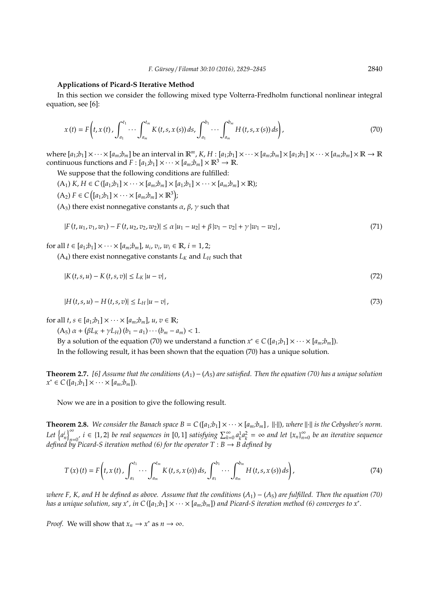#### **Applications of Picard-S Iterative Method**

In this section we consider the following mixed type Volterra-Fredholm functional nonlinear integral equation, see [6]:

$$
x(t) = F\left(t, x(t), \int_{a_1}^{t_1} \cdots \int_{a_m}^{t_m} K(t, s, x(s)) ds, \int_{a_1}^{b_1} \cdots \int_{a_m}^{b_m} H(t, s, x(s)) ds\right),\tag{70}
$$

where  $[a_1,b_1]\times\cdots\times[a_m,b_m]$  be an interval in  $\mathbb{R}^m$ , K, H :  $[a_1,b_1]\times\cdots\times[a_m,b_m]\times[a_1,b_1]\times\cdots\times[a_m,b_m]\times\mathbb{R}\to\mathbb{R}$ continuous functions and  $F : [a_1;b_1] \times \cdots \times [a_m;b_m] \times \mathbb{R}^3 \to \mathbb{R}$ .

We suppose that the following conditions are fulfilled:

 $(A_1)$  *K*,  $H \in C([a_1;b_1] \times \cdots \times [a_m;b_m] \times [a_1;b_1] \times \cdots \times [a_m;b_m] \times \mathbb{R}$ ;

 $(A_2) F \in C([a_1;b_1] \times \cdots \times [a_m;b_m] \times \mathbb{R}^3);$ 

(A<sub>3</sub>) there exist nonnegative constants  $\alpha$ ,  $\beta$ ,  $\gamma$  such that

$$
|F(t, u_1, v_1, w_1) - F(t, u_2, v_2, w_2)| \le \alpha |u_1 - u_2| + \beta |v_1 - v_2| + \gamma |w_1 - w_2|,
$$
\n
$$
(71)
$$

for all  $t \in [a_1;b_1] \times \cdots \times [a_m;b_m]$ ,  $u_i, v_i, w_i \in \mathbb{R}$ ,  $i = 1, 2;$ 

 $(A_4)$  there exist nonnegative constants  $L_K$  and  $L_H$  such that

$$
|K(t,s,u) - K(t,s,v)| \le L_K |u - v|,
$$
\n(72)

$$
|H(t,s,u) - H(t,s,v)| \le L_H |u - v|,
$$
\n(73)

for all  $t, s \in [a_1;b_1] \times \cdots \times [a_m;b_m]$ ,  $u, v \in \mathbb{R}$ ;

 $(A_5) \alpha + (\beta L_K + \gamma L_H)(b_1 - a_1) \cdots (b_m - a_m) < 1.$ 

By a solution of the equation (70) we understand a function  $x^* \in C([a_1;b_1] \times \cdots \times [a_m;b_m])$ . In the following result, it has been shown that the equation (70) has a unique solution.

**Theorem 2.7.** *[6] Assume that the conditions* (*A*1)−(*A*5) *are satisfied. Then the equation (70) has a unique solution*  $x^*$  ∈ *C*([*a*<sub>1</sub>;*b*<sub>1</sub>] × · · · × [*a*<sub>*m*</sub>;*b*<sub>*m*</sub>]).

Now we are in a position to give the following result.

**Theorem 2.8.** We consider the Banach space  $B = C([a_1:b_1] \times \cdots \times [a_m:b_m]$ ,  $\|\cdot\|$ , where  $\|\cdot\|$  is the Cebyshev's norm. *Let*  $\left\{a_n^i\right\}_{n=1}^\infty$  $\int_{0}^{\infty}$  *i*  $\in$  {1, 2} *be real sequences in* [0, 1] *satisfying*  $\sum_{k=0}^{\infty} a_k^1 a_k^2 = \infty$  *and let*  $\{x_n\}_{n=0}^{\infty}$ *n*=0 *be an iterative sequence defined by Picard-S iteration method (6) for the operator T* : *B* → *B defined by*

$$
T(x)(t) = F\left(t, x(t), \int_{a_1}^{t_1} \cdots \int_{a_m}^{t_m} K(t, s, x(s)) ds, \int_{a_1}^{b_1} \cdots \int_{a_m}^{b_m} H(t, s, x(s)) ds\right),
$$
\n(74)

*where F, K, and H be defined as above. Assume that the conditions* (*A*1) − (*A*5) *are fulfilled. Then the equation (70) has a unique solution, say x\*, in C* ([a<sub>1</sub>;b<sub>1</sub>] ×  $\cdots$  × [a<sub>m</sub>;b<sub>m</sub>]) and Picard-S iteration method (6) converges to x\*.

*Proof.* We will show that  $x_n \to x^*$  as  $n \to \infty$ .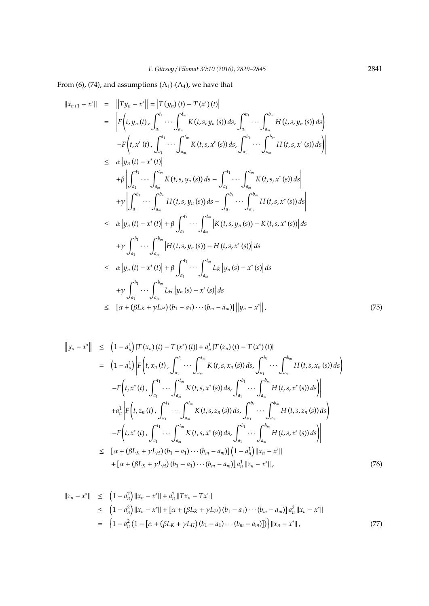From (6), (74), and assumptions  $(A_1)$ - $(A_4)$ , we have that

$$
||x_{n+1} - x^*|| = ||Ty_n - x^*|| = |T(y_n)(t) - T(x^*)(t)|
$$
  
\n
$$
= |F(t, y_n(t), \int_{a_1}^{t_1} \cdots \int_{a_m}^{t_m} K(t, s, y_n(s)) ds, \int_{a_1}^{b_1} \cdots \int_{a_m}^{b_m} H(t, s, y_n(s)) ds)
$$
  
\n
$$
-F(t, x^*(t), \int_{a_1}^{t_1} \cdots \int_{a_m}^{t_m} K(t, s, x^*(s)) ds, \int_{a_1}^{b_1} \cdots \int_{a_m}^{b_m} H(t, s, x^*(s)) ds
$$
  
\n
$$
\leq \alpha |y_n(t) - x^*(t)|
$$
  
\n
$$
+ \beta \left| \int_{a_1}^{t_1} \cdots \int_{a_m}^{t_m} K(t, s, y_n(s)) ds - \int_{a_1}^{t_1} \cdots \int_{a_m}^{t_m} K(t, s, x^*(s)) ds \right|
$$
  
\n
$$
+ \gamma \left| \int_{a_1}^{b_1} \cdots \int_{a_m}^{b_m} H(t, s, y_n(s)) ds - \int_{a_1}^{b_1} \cdots \int_{a_m}^{b_m} H(t, s, x^*(s)) ds \right|
$$
  
\n
$$
\leq \alpha |y_n(t) - x^*(t)| + \beta \int_{a_1}^{t_1} \cdots \int_{a_m}^{t_m} \left| K(t, s, y_n(s)) - K(t, s, x^*(s)) \right| ds
$$
  
\n
$$
+ \gamma \int_{a_1}^{b_1} \cdots \int_{a_m}^{b_m} \left| H(t, s, y_n(s)) - H(t, s, x^*(s)) \right| ds
$$
  
\n
$$
\leq \alpha |y_n(t) - x^*(t)| + \beta \int_{a_1}^{t_1} \cdots \int_{a_m}^{t_m} L_K |y_n(s) - x^*(s)| ds
$$
  
\n
$$
+ \gamma \int_{a_1}^{b_1} \cdots \int_{a_m}^{b_m} L_H |y_n(s) - x^*(s)| ds
$$
  
\n
$$
\leq [\alpha + (\beta L_K + \gamma L_H)(b_1 - a_1) \cdots (b_m - a_m)] ||y_n - x^*
$$

$$
||y_{n} - x^{*}|| \leq (1 - a_{n}^{1})|T(x_{n})(t) - T(x^{*})(t)| + a_{n}^{1}|T(z_{n})(t) - T(x^{*})(t)|
$$
  
\n
$$
= (1 - a_{n}^{1}) \Big| F(t, x_{n}(t), \int_{a_{1}}^{t_{1}} \cdots \int_{a_{m}}^{t_{m}} K(t, s, x_{n}(s)) ds, \int_{a_{1}}^{b_{1}} \cdots \int_{a_{m}}^{b_{m}} H(t, s, x_{n}(s)) ds \Big|
$$
  
\n
$$
-F(t, x^{*}(t), \int_{a_{1}}^{t_{1}} \cdots \int_{a_{m}}^{t_{m}} K(t, s, x^{*}(s)) ds, \int_{a_{1}}^{b_{1}} \cdots \int_{a_{m}}^{b_{m}} H(t, s, x^{*}(s)) ds \Big|
$$
  
\n
$$
+a_{n}^{1} \Big| F(t, z_{n}(t), \int_{a_{1}}^{t_{1}} \cdots \int_{a_{m}}^{t_{m}} K(t, s, z_{n}(s)) ds, \int_{a_{1}}^{b_{1}} \cdots \int_{a_{m}}^{b_{m}} H(t, s, z_{n}(s)) ds \Big|
$$
  
\n
$$
-F(t, x^{*}(t), \int_{a_{1}}^{t_{1}} \cdots \int_{a_{m}}^{t_{m}} K(t, s, x^{*}(s)) ds, \int_{a_{1}}^{b_{1}} \cdots \int_{a_{m}}^{b_{m}} H(t, s, z^{*}(s)) ds \Big|
$$
  
\n
$$
\leq [\alpha + (\beta L_{K} + \gamma L_{H})(b_{1} - a_{1}) \cdots (b_{m} - a_{m})](1 - a_{n}^{1}) ||x_{n} - x^{*}||
$$
  
\n
$$
+ [\alpha + (\beta L_{K} + \gamma L_{H})(b_{1} - a_{1}) \cdots (b_{m} - a_{m})] a_{n}^{1} ||z_{n} - x^{*}||,
$$
 (76)

$$
||z_n - x^*|| \le (1 - a_n^2) ||x_n - x^*|| + a_n^2 ||Tx_n - Tx^*||
$$
  
\n
$$
\le (1 - a_n^2) ||x_n - x^*|| + [\alpha + (\beta L_K + \gamma L_H)(b_1 - a_1) \cdots (b_m - a_m)] a_n^2 ||x_n - x^*||
$$
  
\n
$$
= \{1 - a_n^2 (1 - [\alpha + (\beta L_K + \gamma L_H)(b_1 - a_1) \cdots (b_m - a_m)])\} ||x_n - x^*||,
$$
\n(77)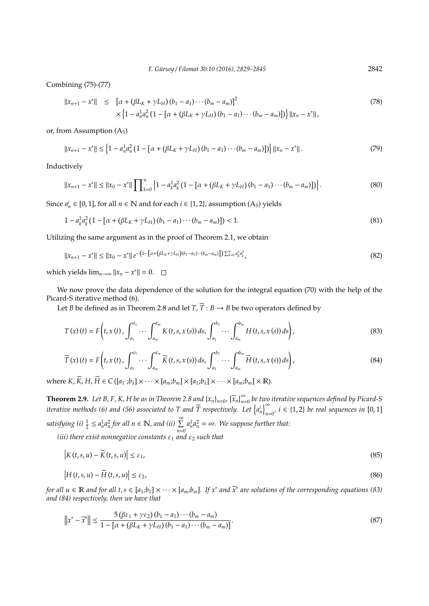Combining (75)-(77)

$$
||x_{n+1} - x^*|| \leq [\alpha + (\beta L_K + \gamma L_H)(b_1 - a_1) \cdots (b_m - a_m)]^2
$$
  
 
$$
\times \left\{1 - a_n^1 a_n^2 (1 - [\alpha + (\beta L_K + \gamma L_H)(b_1 - a_1) \cdots (b_m - a_m)]\right\} ||x_n - x^*||,
$$
 (78)

or, from Assumption  $(A_5)$ 

$$
||x_{n+1} - x^*|| \le \left\{1 - a_n^1 a_n^2 \left(1 - \left[\alpha + (\beta L_K + \gamma L_H)(b_1 - a_1) \cdots (b_m - a_m)\right]\right)\right\} ||x_n - x^*||. \tag{79}
$$

Inductively

$$
||x_{n+1} - x^*|| \le ||x_0 - x^*|| \prod_{k=0}^n \left\{ 1 - a_k^1 a_k^2 \left( 1 - \left[ \alpha + (\beta L_K + \gamma L_H)(b_1 - a_1) \cdots (b_m - a_m) \right] \right) \right\}.
$$
 (80)

Since  $a_n^i \in [0,1]$ , for all  $n \in \mathbb{N}$  and for each  $i \in \{1,2\}$ , assumption  $(A_5)$  yields

$$
1 - a_{k}^{1} a_{k}^{2} \left(1 - \left[\alpha + (\beta L_{K} + \gamma L_{H})(b_{1} - a_{1}) \cdots (b_{m} - a_{m})\right]\right) < 1. \tag{81}
$$

Utilizing the same argument as in the proof of Theorem 2.1, we obtain

$$
||x_{n+1} - x^*|| \le ||x_0 - x^*|| e^{-\left(1 - \left[\alpha + (\beta L_K + \gamma L_H)(b_1 - a_1) \cdots (b_m - a_m)\right]\right)\sum_{k=0}^n a_k^1 a_k^2},
$$
\n(82)

which yields  $\lim_{n\to\infty} ||x_n - x^*|| = 0$ .

We now prove the data dependence of the solution for the integral equation (70) with the help of the Picard-S iterative method (6).

Let *B* be defined as in Theorem 2.8 and let  $T$ ,  $\widetilde{T}$  : *B*  $\rightarrow$  *B* be two operators defined by

$$
T(x)(t) = F\left(t, x(t), \int_{a_1}^{t_1} \cdots \int_{a_m}^{t_m} K(t, s, x(s)) ds, \int_{a_1}^{b_1} \cdots \int_{a_m}^{b_m} H(t, s, x(s)) ds\right),
$$
\n(83)

$$
\widetilde{T}(x)(t) = F\left(t, x(t), \int_{a_1}^{t_1} \cdots \int_{a_m}^{t_m} \widetilde{K}(t, s, x(s)) ds, \int_{a_1}^{b_1} \cdots \int_{a_m}^{b_m} \widetilde{H}(t, s, x(s)) ds\right),\tag{84}
$$

where  $K$ ,  $K$ ,  $H$ ,  $H \in C([a_1; b_1] \times \cdots \times [a_m; b_m] \times [a_1; b_1] \times \cdots \times [a_m; b_m] \times \mathbb{R})$ .

**Theorem 2.9.** *Let B, F, K, H be as in Theorem 2.8 and*  $\{x_n\}_{n=0}^{\infty}$ ,  $\{\widetilde{x}_n\}_{n=0}^{\infty}$  *be two iterative sequences defined by Picard-S iterative methods (6) and (56) associated to T and*  $\widetilde{T}$  *respectively. Let*  $\left\{a_n^i\right\}_{n=0}^{\infty}$  $\sum_{n=0'}^{\infty} i$  ∈ {1, 2} *be real sequences in* [0, 1] satisfying (i)  $\frac{1}{2} \le a_n^1 a_n^2$  for all  $n \in \mathbb{N}$ , and (ii)  $\sum_{n=0}^{\infty} a_n^1 a_n^2 = \infty$ . We suppose further that:

*(iii) there exist nonnegative constants*  $\varepsilon_1$  *and*  $\varepsilon_2$  *such that* 

$$
\left|K(t,s,u) - \widetilde{K}(t,s,u)\right| \leq \varepsilon_1,\tag{85}
$$

$$
\left|H(t,s,u)-\widetilde{H}(t,s,u)\right|\leq\varepsilon_{2},\tag{86}
$$

*for all*  $u \in \mathbb{R}$  *and for all*  $t, s \in [a_1; b_1] \times \cdots \times [a_m; b_m]$ . If  $x^*$  *and*  $\widetilde{x}^*$  *are solutions of the corresponding equations (83) and (84) respectively, then we have that*

$$
\left\|x^* - \widetilde{x}^*\right\| \le \frac{5\left(\beta\varepsilon_1 + \gamma\varepsilon_2\right)\left(b_1 - a_1\right)\cdots\left(b_m - a_m\right)}{1 - \left[\alpha + \left(\beta L_K + \gamma L_H\right)\left(b_1 - a_1\right)\cdots\left(b_m - a_m\right)\right]}.
$$
\n
$$
(87)
$$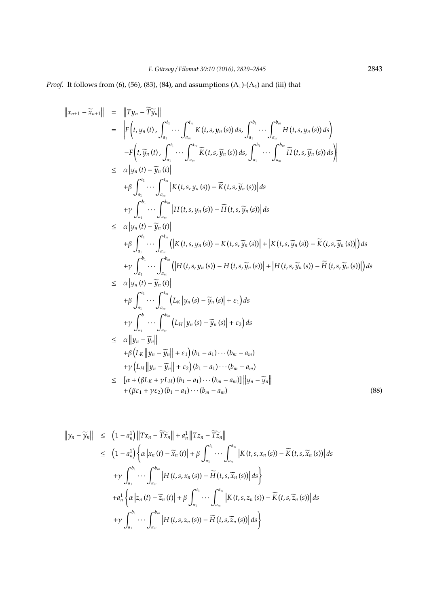*Proof.* It follows from (6), (56), (83), (84), and assumptions  $(A_1)-(A_4)$  and (iii) that

$$
\begin{aligned}\n\left\|x_{n+1}-\widetilde{x}_{n+1}\right\| &= \left\|Ty_n-\widetilde Ty_n\right\| \\
&= \left\|F\left(t,y_n\left(t\right),\int_{a_1}^{t_1}\cdots\int_{a_m}^{t_m}K\left(t,s,y_n\left(s\right)\right)ds,\int_{a_1}^{b_1}\cdots\int_{a_m}^{b_m}H\left(t,s,y_n\left(s\right)\right)ds\right) \\
&-F\left(t,\widetilde y_n\left(t\right),\int_{a_1}^{t_1}\cdots\int_{a_m}^{t_m}\widetilde K\left(t,s,\widetilde y_n\left(s\right)\right)ds,\int_{a_1}^{b_1}\cdots\int_{a_m}^{b_m}\widetilde H\left(t,s,\widetilde y_n\left(s\right)\right)ds\right\| \\
&\leq \alpha\left\|y_n\left(t\right)-\widetilde y_n\left(t\right)\right\| \\
&+ \beta\int_{a_1}^{t_1}\cdots\int_{a_m}^{t_m}\left|K\left(t,s,y_n\left(s\right)\right)-\widetilde K\left(t,s,\widetilde y_n\left(s\right)\right)\right|ds \\
&+ \gamma\int_{a_1}^{b_1}\cdots\int_{a_m}^{b_m}\left|H\left(t,s,y_n\left(s\right)\right)-\widetilde H\left(t,s,\widetilde y_n\left(s\right)\right)\right|ds \\
&\leq \alpha\left\|y_n\left(t\right)-\widetilde y_n\left(t\right)\right\| \\
&+ \beta\int_{a_1}^{t_1}\cdots\int_{a_m}^{t_m}\left(\left|K\left(t,s,y_n\left(s\right)\right)-K\left(t,s,\widetilde y_n\left(s\right)\right)\right|+\left|K\left(t,s,\widetilde y_n\left(s\right)\right)-\widetilde K\left(t,s,\widetilde y_n\left(s\right)\right)\right|\right)ds \\
&+ \gamma\int_{a_1}^{b_1}\cdots\int_{a_m}^{b_m}\left(\left|H\left(t,s,y_n\left(s\right)\right)-H\left(t,s,\widetilde y_n\left(s\right)\right)\right|+\left|H\left(t,s,\widetilde y_n\left(s\right)\right)-\widetilde H\left(t,s,\widetilde y_n\left(s\right)\right)\right|\right)ds \\
&\leq \alpha\left\|y_n\left(t,\widetilde y_n\left(\right)\right)\right\|_{a_m}^{
$$

$$
\|y_n - \widetilde{y}_n\| \leq (1 - a_n^1) \|Tx_n - \widetilde{T} \widetilde{x}_n\| + a_n^1 \|Tz_n - \widetilde{T} \widetilde{z}_n\|
$$
  
\n
$$
\leq (1 - a_n^1) \Big\{ \alpha |x_n(t) - \widetilde{x}_n(t)| + \beta \int_{a_1}^{t_1} \cdots \int_{a_m}^{t_m} |K(t, s, x_n(s)) - \widetilde{K}(t, s, \widetilde{x}_n(s))| ds
$$
  
\n
$$
+ \gamma \int_{a_1}^{b_1} \cdots \int_{a_m}^{b_m} |H(t, s, x_n(s)) - \widetilde{H}(t, s, \widetilde{x}_n(s))| ds \Big\}
$$
  
\n
$$
+ a_n^1 \Big\{ \alpha |z_n(t) - \widetilde{z}_n(t)| + \beta \int_{a_1}^{t_1} \cdots \int_{a_m}^{t_m} |K(t, s, z_n(s)) - \widetilde{K}(t, s, \widetilde{z}_n(s))| ds
$$
  
\n
$$
+ \gamma \int_{a_1}^{b_1} \cdots \int_{a_m}^{b_m} |H(t, s, z_n(s)) - \widetilde{H}(t, s, \widetilde{z}_n(s))| ds \Big\}
$$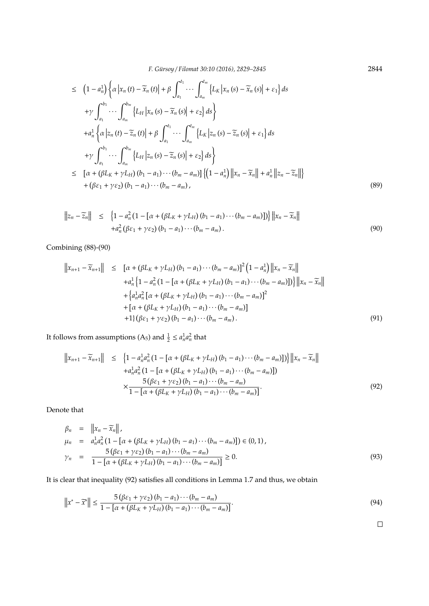*F. G ¨ursoy* / *Filomat 30:10 (2016), 2829–2845* 2844

$$
\leq (1 - a_n^1) \Big\{ \alpha \Big| x_n(t) - \widetilde{x}_n(t) \Big| + \beta \int_{a_1}^{t_1} \cdots \int_{a_m}^{t_m} \Big\{ L_K \Big| x_n(s) - \widetilde{x}_n(s) \Big| + \varepsilon_1 \Big\} ds
$$
  
+  $\gamma \int_{a_1}^{b_1} \cdots \int_{a_m}^{b_m} \Big\{ L_H \Big| x_n(s) - \widetilde{x}_n(s) \Big| + \varepsilon_2 \Big\} ds \Big\}$   
+  $a_n^1 \Big\{ \alpha \Big| z_n(t) - \widetilde{z}_n(t) \Big| + \beta \int_{a_1}^{t_1} \cdots \int_{a_m}^{t_m} \Big\{ L_K \Big| z_n(s) - \widetilde{z}_n(s) \Big| + \varepsilon_1 \Big\} ds$   
+  $\gamma \int_{a_1}^{b_1} \cdots \int_{a_m}^{b_m} \Big\{ L_H \Big| z_n(s) - \widetilde{z}_n(s) \Big| + \varepsilon_2 \Big\} ds \Big\}$   

$$
\leq [\alpha + (\beta L_K + \gamma L_H)(b_1 - a_1) \cdots (b_m - a_m)] \Big\{ (1 - a_n^1) \Big\| x_n - \widetilde{x}_n \Big\| + a_n^1 \Big\| z_n - \widetilde{z}_n \Big\| \Big\}
$$
  
+  $(\beta \varepsilon_1 + \gamma \varepsilon_2)(b_1 - a_1) \cdots (b_m - a_m),$  (89)

$$
\|z_n - \widetilde{z}_n\| \leq \left\{1 - a_n^2 \left(1 - \left[\alpha + (\beta L_K + \gamma L_H)(b_1 - a_1) \cdots (b_m - a_m)\right]\right)\right\} \|x_n - \widetilde{x}_n\| + a_n^2 (\beta \varepsilon_1 + \gamma \varepsilon_2) (b_1 - a_1) \cdots (b_m - a_m).
$$
\n
$$
(90)
$$

Combining (88)-(90)

$$
||x_{n+1} - \widetilde{x}_{n+1}|| \leq [ \alpha + (\beta L_K + \gamma L_H) (b_1 - a_1) \cdots (b_m - a_m) ]^2 (1 - a_n^1) ||x_n - \widetilde{x}_n||
$$
  
+  $a_n^1 \{ 1 - a_n^2 (1 - [\alpha + (\beta L_K + \gamma L_H) (b_1 - a_1) \cdots (b_m - a_m) ] ) \} ||x_n - \widetilde{x}_n||$   
+  $\{ a_n^1 a_n^2 [\alpha + (\beta L_K + \gamma L_H) (b_1 - a_1) \cdots (b_m - a_m) ]^2$   
+  $[\alpha + (\beta L_K + \gamma L_H) (b_1 - a_1) \cdots (b_m - a_m) ]$   
+  $1 \} (\beta \varepsilon_1 + \gamma \varepsilon_2) (b_1 - a_1) \cdots (b_m - a_m).$  (91)

It follows from assumptions (A<sub>5</sub>) and  $\frac{1}{2} \le a_n^1 a_n^2$  that

$$
||x_{n+1} - \widetilde{x}_{n+1}|| \leq \left\{ 1 - a_n^1 a_n^2 \left( 1 - \left[ \alpha + (\beta L_K + \gamma L_H) (b_1 - a_1) \cdots (b_m - a_m) \right] \right) \right\} ||x_n - \widetilde{x}_n||
$$
  
+ 
$$
a_n^1 a_n^2 \left( 1 - \left[ \alpha + (\beta L_K + \gamma L_H) (b_1 - a_1) \cdots (b_m - a_m) \right] \right)
$$
  

$$
\times \frac{5 (\beta \varepsilon_1 + \gamma \varepsilon_2) (b_1 - a_1) \cdots (b_m - a_m)}{1 - \left[ \alpha + (\beta L_K + \gamma L_H) (b_1 - a_1) \cdots (b_m - a_m) \right]}.
$$
 (92)

Denote that

$$
\beta_n = ||x_n - \widetilde{x}_n||,
$$
  
\n
$$
\mu_n = a_n^1 a_n^2 (1 - [\alpha + (\beta L_K + \gamma L_H)(b_1 - a_1) \cdots (b_m - a_m)]) \in (0, 1),
$$
  
\n
$$
\gamma_n = \frac{5 (\beta \varepsilon_1 + \gamma \varepsilon_2) (b_1 - a_1) \cdots (b_m - a_m)}{1 - [\alpha + (\beta L_K + \gamma L_H)(b_1 - a_1) \cdots (b_m - a_m)]} \ge 0.
$$
\n(93)

It is clear that inequality (92) satisfies all conditions in Lemma 1.7 and thus, we obtain

$$
\left\|x^* - \widetilde{x}^*\right\| \le \frac{5\left(\beta\varepsilon_1 + \gamma\varepsilon_2\right)\left(b_1 - a_1\right)\cdots\left(b_m - a_m\right)}{1 - \left[\alpha + \left(\beta L_K + \gamma L_H\right)\left(b_1 - a_1\right)\cdots\left(b_m - a_m\right)\right]}.
$$
\n(94)

$$
\Box
$$